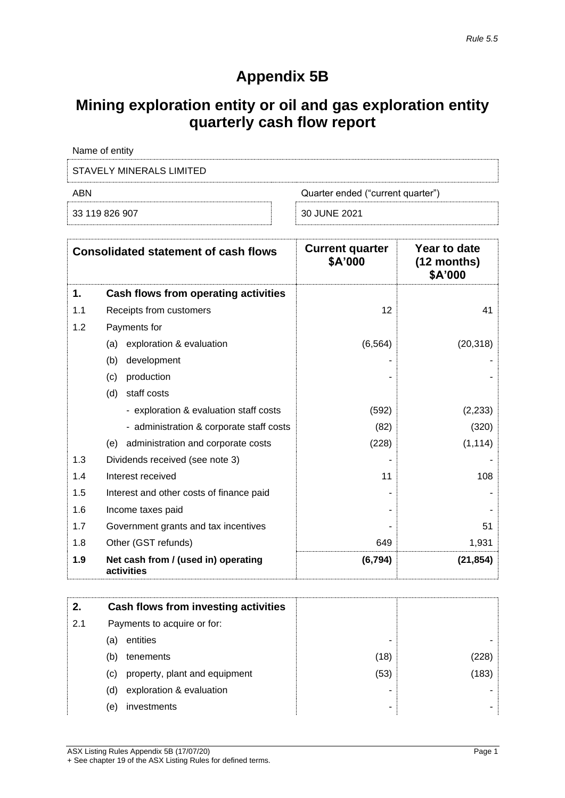# **Appendix 5B**

# **Mining exploration entity or oil and gas exploration entity quarterly cash flow report**

| Name of entity           |                                   |
|--------------------------|-----------------------------------|
| STAVELY MINERALS LIMITED |                                   |
| ABN                      | Quarter ended ("current quarter") |
| 33 119 826 907           | 30 JUNE 2021                      |

|     | <b>Consolidated statement of cash flows</b>       | <b>Current quarter</b><br>\$A'000 | Year to date<br>$(12$ months)<br>\$A'000 |
|-----|---------------------------------------------------|-----------------------------------|------------------------------------------|
| 1.  | Cash flows from operating activities              |                                   |                                          |
| 1.1 | Receipts from customers                           | 12                                | 41                                       |
| 1.2 | Payments for                                      |                                   |                                          |
|     | exploration & evaluation<br>(a)                   | (6, 564)                          | (20, 318)                                |
|     | (b)<br>development                                |                                   |                                          |
|     | production<br>(c)                                 |                                   |                                          |
|     | (d)<br>staff costs                                |                                   |                                          |
|     | - exploration & evaluation staff costs            | (592)                             | (2, 233)                                 |
|     | - administration & corporate staff costs          | (82)                              | (320)                                    |
|     | administration and corporate costs<br>(e)         | (228)                             | (1, 114)                                 |
| 1.3 | Dividends received (see note 3)                   |                                   |                                          |
| 1.4 | Interest received                                 | 11                                | 108                                      |
| 1.5 | Interest and other costs of finance paid          |                                   |                                          |
| 1.6 | Income taxes paid                                 |                                   |                                          |
| 1.7 | Government grants and tax incentives              |                                   | 51                                       |
| 1.8 | Other (GST refunds)                               | 649                               | 1,931                                    |
| 1.9 | Net cash from / (used in) operating<br>activities | (6, 794)                          | (21, 854)                                |

| 2.  | Cash flows from investing activities |                               |      |       |
|-----|--------------------------------------|-------------------------------|------|-------|
| 2.1 | Payments to acquire or for:          |                               |      |       |
|     | (a)                                  | entities                      | -    |       |
|     | (b)                                  | tenements                     | (18) | 228)  |
|     | (C)                                  | property, plant and equipment | (53) | (183) |
|     | (d)                                  | exploration & evaluation      | -    |       |
|     | (e)                                  | investments                   | ۰    |       |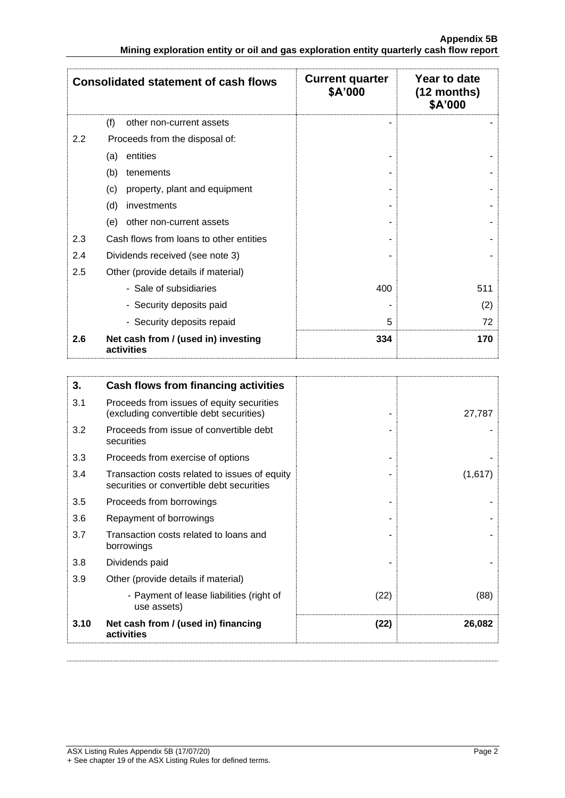| <b>Consolidated statement of cash flows</b> |                                                   | <b>Current quarter</b><br>\$A'000 | Year to date<br>$(12$ months)<br>\$A'000 |
|---------------------------------------------|---------------------------------------------------|-----------------------------------|------------------------------------------|
|                                             | (f)<br>other non-current assets                   |                                   |                                          |
| 2.2                                         | Proceeds from the disposal of:                    |                                   |                                          |
|                                             | entities<br>(a)                                   |                                   |                                          |
|                                             | (b)<br>tenements                                  |                                   |                                          |
|                                             | property, plant and equipment<br>(c)              |                                   |                                          |
|                                             | (d)<br>investments                                |                                   |                                          |
|                                             | other non-current assets<br>(e)                   |                                   |                                          |
| 2.3                                         | Cash flows from loans to other entities           |                                   |                                          |
| 2.4                                         | Dividends received (see note 3)                   |                                   |                                          |
| 2.5                                         | Other (provide details if material)               |                                   |                                          |
|                                             | - Sale of subsidiaries                            | 400                               | 511                                      |
|                                             | - Security deposits paid                          |                                   | (2)                                      |
|                                             | - Security deposits repaid                        | 5                                 | 72                                       |
| 2.6                                         | Net cash from / (used in) investing<br>activities | 334                               | 170                                      |

| 3.   | Cash flows from financing activities                                                       |      |         |
|------|--------------------------------------------------------------------------------------------|------|---------|
| 3.1  | Proceeds from issues of equity securities<br>(excluding convertible debt securities)       |      | 27,787  |
| 3.2  | Proceeds from issue of convertible debt<br>securities                                      |      |         |
| 3.3  | Proceeds from exercise of options                                                          |      |         |
| 3.4  | Transaction costs related to issues of equity<br>securities or convertible debt securities |      | (1,617) |
| 3.5  | Proceeds from borrowings                                                                   |      |         |
| 3.6  | Repayment of borrowings                                                                    |      |         |
| 3.7  | Transaction costs related to loans and<br>borrowings                                       |      |         |
| 3.8  | Dividends paid                                                                             |      |         |
| 3.9  | Other (provide details if material)                                                        |      |         |
|      | - Payment of lease liabilities (right of<br>use assets)                                    | (22) | (88)    |
| 3.10 | Net cash from / (used in) financing<br>activities                                          | (22) | 26,082  |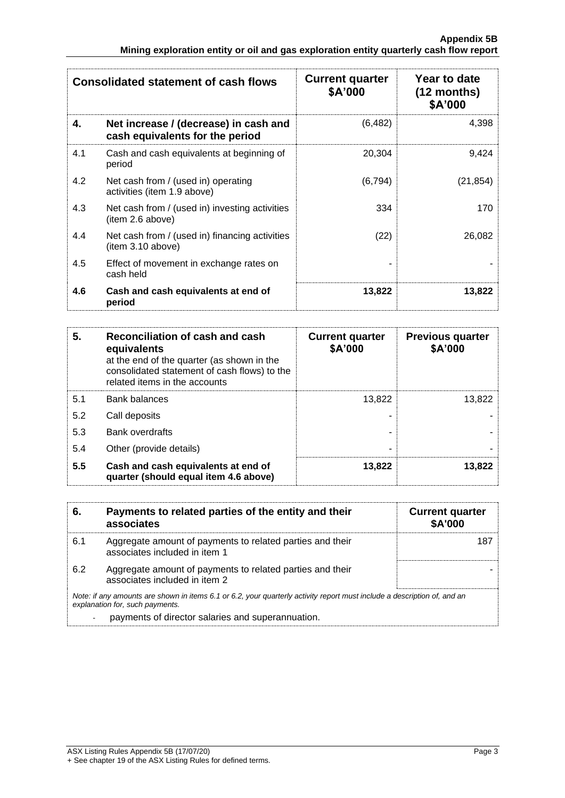| <b>Consolidated statement of cash flows</b> |                                                                          | <b>Current quarter</b><br>\$A'000 | Year to date<br>$(12$ months)<br>\$A'000 |
|---------------------------------------------|--------------------------------------------------------------------------|-----------------------------------|------------------------------------------|
| 4.                                          | Net increase / (decrease) in cash and<br>cash equivalents for the period | (6, 482)                          | 4,398                                    |
| 4.1                                         | Cash and cash equivalents at beginning of<br>period                      | 20,304                            | 9,424                                    |
| 4.2                                         | Net cash from / (used in) operating<br>activities (item 1.9 above)       | (6, 794)                          | (21, 854)                                |
| 4.3                                         | Net cash from / (used in) investing activities<br>(item 2.6 above)       | 334                               | 170                                      |
| 4.4                                         | Net cash from / (used in) financing activities<br>item 3.10 above)       | (22)                              | 26,082                                   |
| 4.5                                         | Effect of movement in exchange rates on<br>cash held                     |                                   |                                          |
| 4.6                                         | Cash and cash equivalents at end of<br>period                            | 13,822                            | 13,822                                   |

| 5.  | Reconciliation of cash and cash<br>equivalents<br>at the end of the quarter (as shown in the<br>consolidated statement of cash flows) to the<br>related items in the accounts | <b>Current quarter</b><br>\$A'000 | <b>Previous quarter</b><br>\$A'000 |
|-----|-------------------------------------------------------------------------------------------------------------------------------------------------------------------------------|-----------------------------------|------------------------------------|
| 5.1 | <b>Bank balances</b>                                                                                                                                                          | 13.822                            | 13,822                             |
| 5.2 | Call deposits                                                                                                                                                                 |                                   |                                    |
| 5.3 | Bank overdrafts                                                                                                                                                               |                                   |                                    |
| 5.4 | Other (provide details)                                                                                                                                                       |                                   |                                    |
| 5.5 | Cash and cash equivalents at end of<br>quarter (should equal item 4.6 above)                                                                                                  | 13,822                            | 13,822                             |

| 6.  | Payments to related parties of the entity and their<br>associates                                                                                           | <b>Current quarter</b><br><b>\$A'000</b> |
|-----|-------------------------------------------------------------------------------------------------------------------------------------------------------------|------------------------------------------|
| 6.1 | Aggregate amount of payments to related parties and their<br>associates included in item 1                                                                  | 187                                      |
| 6.2 | Aggregate amount of payments to related parties and their<br>associates included in item 2                                                                  |                                          |
|     | Note: if any amounts are shown in items 6.1 or 6.2, your quarterly activity report must include a description of, and an<br>explanation for, such payments. |                                          |
|     | payments of director salaries and superannuation.                                                                                                           |                                          |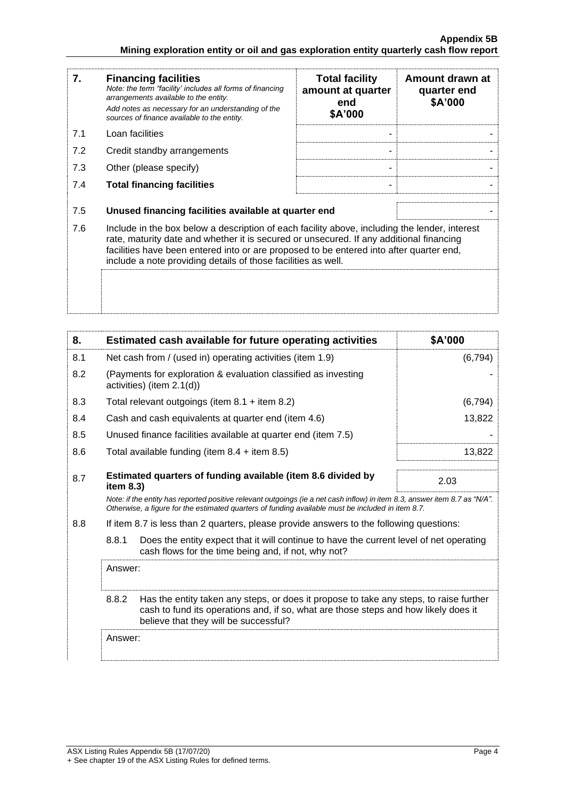| 7.  | <b>Financing facilities</b><br>Note: the term "facility' includes all forms of financing<br>arrangements available to the entity.<br>Add notes as necessary for an understanding of the<br>sources of finance available to the entity.                                                                                                               | <b>Total facility</b><br>amount at quarter<br>end<br>\$A'000 | Amount drawn at<br>quarter end<br>\$A'000 |
|-----|------------------------------------------------------------------------------------------------------------------------------------------------------------------------------------------------------------------------------------------------------------------------------------------------------------------------------------------------------|--------------------------------------------------------------|-------------------------------------------|
| 7.1 | Loan facilities                                                                                                                                                                                                                                                                                                                                      |                                                              |                                           |
| 7.2 | Credit standby arrangements                                                                                                                                                                                                                                                                                                                          |                                                              |                                           |
| 7.3 | Other (please specify)                                                                                                                                                                                                                                                                                                                               |                                                              |                                           |
| 7.4 | <b>Total financing facilities</b>                                                                                                                                                                                                                                                                                                                    |                                                              |                                           |
| 7.5 | Unused financing facilities available at quarter end                                                                                                                                                                                                                                                                                                 |                                                              |                                           |
| 7.6 | Include in the box below a description of each facility above, including the lender, interest<br>rate, maturity date and whether it is secured or unsecured. If any additional financing<br>facilities have been entered into or are proposed to be entered into after quarter end,<br>include a note providing details of those facilities as well. |                                                              |                                           |
|     |                                                                                                                                                                                                                                                                                                                                                      |                                                              |                                           |

| 8.                                                                                             | Estimated cash available for future operating activities                  | \$A'000                                                                                                                                                                                                                         |          |
|------------------------------------------------------------------------------------------------|---------------------------------------------------------------------------|---------------------------------------------------------------------------------------------------------------------------------------------------------------------------------------------------------------------------------|----------|
| 8.1                                                                                            | Net cash from / (used in) operating activities (item 1.9)                 |                                                                                                                                                                                                                                 | (6, 794) |
| 8.2                                                                                            | activities) (item 2.1(d))                                                 | (Payments for exploration & evaluation classified as investing                                                                                                                                                                  |          |
| 8.3                                                                                            |                                                                           | Total relevant outgoings (item $8.1 +$ item $8.2$ )                                                                                                                                                                             | (6, 794) |
| 8.4                                                                                            |                                                                           | Cash and cash equivalents at quarter end (item 4.6)                                                                                                                                                                             | 13,822   |
| 8.5                                                                                            |                                                                           | Unused finance facilities available at quarter end (item 7.5)                                                                                                                                                                   |          |
| 8.6                                                                                            |                                                                           | Total available funding (item $8.4 +$ item $8.5$ )                                                                                                                                                                              | 13,822   |
| 8.7                                                                                            | Estimated quarters of funding available (item 8.6 divided by<br>item 8.3) |                                                                                                                                                                                                                                 | 2.03     |
|                                                                                                |                                                                           | Note: if the entity has reported positive relevant outgoings (ie a net cash inflow) in item 8.3, answer item 8.7 as "N/A".<br>Otherwise, a figure for the estimated quarters of funding available must be included in item 8.7. |          |
| 8.8<br>If item 8.7 is less than 2 quarters, please provide answers to the following questions: |                                                                           |                                                                                                                                                                                                                                 |          |
|                                                                                                | 8.8.1                                                                     | Does the entity expect that it will continue to have the current level of net operating<br>cash flows for the time being and, if not, why not?                                                                                  |          |
|                                                                                                | Answer:                                                                   |                                                                                                                                                                                                                                 |          |
|                                                                                                | 8.8.2                                                                     | Has the entity taken any steps, or does it propose to take any steps, to raise further<br>cash to fund its operations and, if so, what are those steps and how likely does it<br>believe that they will be successful?          |          |
|                                                                                                | Answer:                                                                   |                                                                                                                                                                                                                                 |          |
|                                                                                                |                                                                           |                                                                                                                                                                                                                                 |          |